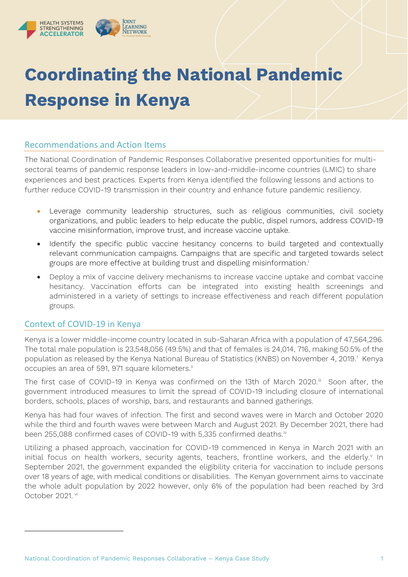

# **Coordinating the National Pandemic Response in Kenya**

# Recommendations and Action Items

The National Coordination of Pandemic Responses Collaborative presented opportunities for multisectoral teams of pandemic response leaders in low-and-middle-income countries (LMIC) to share experiences and best practices. Experts from Kenya identified the following lessons and actions to further reduce COVID-19 transmission in their country and enhance future pandemic resiliency.

- Leverage community leadership structures, such as religious communities, civil society organizations, and public leaders to help educate the public, dispel rumors, address COVID-19 vaccine misinformation, improve trust, and increase vaccine uptake.
- Identify the specific public vaccine hesitancy concerns to build targeted and contextually relevant communication campaigns. Campaigns that are specific and targeted towards select groups are more effect[i](#page-4-0)ve at building trust and dispelling misinformation.<sup>i</sup>
- Deploy a mix of vaccine delivery mechanisms to increase vaccine uptake and combat vaccine hesitancy. Vaccination efforts can be integrated into existing health screenings and administered in a variety of settings to increase effectiveness and reach different population groups.

# Context of COVID-19 in Kenya

Kenya is a lower middle-income country located in sub-Saharan Africa with a population of 47,564,296. The total male population is 23,548,056 (49.5%) and that of females is 24,014, 716, making 50.5% of the population as released by the Kenya National Bureau of Statistics (KNBS) on November 4, 20[1](#page-0-0)9.<sup>1</sup> Kenya occupies an area of 591, 971 square kilometers.<sup>[ii](#page-4-1)</sup>

The first case of COVID-19 in Kenya was confirmed on the 13th of March 2020. $^{\text{III}}$  Soon after, the government introduced measures to limit the spread of COVID-19 including closure of international borders, schools, places of worship, bars, and restaurants and banned gatherings.

Kenya has had four waves of infection. The first and second waves were in March and October 2020 while the third and fourth waves were between March and August 2021. By December 2021, there had been 255,088 confirmed cases of COVID-19 with 5,335 confirmed deaths.<sup>iv</sup>

<span id="page-0-0"></span>Utilizing a phased approach, vaccination for COVID-19 commenced in Kenya in March 2021 with an initial focus on health workers, security agents, teachers, frontline workers, and the elderly.<sup>v</sup> In September 2021, the government expanded the eligibility criteria for vaccination to include persons over 18 years of age, with medical conditions or disabilities. The Kenyan government aims to vaccinate the whole adult population by 2022 however, only 6% of the population had been reached by 3rd October 2021. [vi](#page-4-5)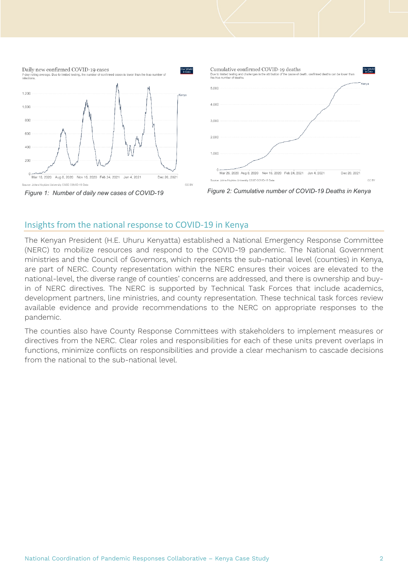





# Insights from the national response to COVID-19 in Kenya

The Kenyan President (H.E. Uhuru Kenyatta) established a National Emergency Response Committee (NERC) to mobilize resources and respond to the COVID-19 pandemic. The National Government ministries and the Council of Governors, which represents the sub-national level (counties) in Kenya, are part of NERC. County representation within the NERC ensures their voices are elevated to the national-level, the diverse range of counties' concerns are addressed, and there is ownership and buyin of NERC directives. The NERC is supported by Technical Task Forces that include academics, development partners, line ministries, and county representation. These technical task forces review available evidence and provide recommendations to the NERC on appropriate responses to the pandemic.

The counties also have County Response Committees with stakeholders to implement measures or directives from the NERC. Clear roles and responsibilities for each of these units prevent overlaps in functions, minimize conflicts on responsibilities and provide a clear mechanism to cascade decisions from the national to the sub-national level.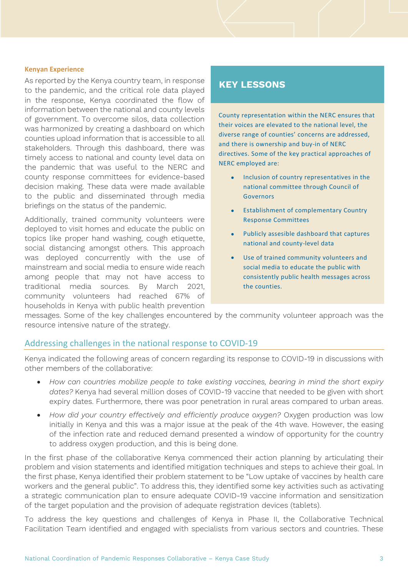#### **Kenyan Experience**

As reported by the Kenya country team, in response to the pandemic, and the critical role data played in the response, Kenya coordinated the flow of information between the national and county levels of government. To overcome silos, data collection was harmonized by creating a dashboard on which counties upload information that is accessible to all stakeholders. Through this dashboard, there was timely access to national and county level data on the pandemic that was useful to the NERC and county response committees for evidence-based decision making. These data were made available to the public and disseminated through media briefings on the status of the pandemic.

Additionally, trained community volunteers were deployed to visit homes and educate the public on topics like proper hand washing, cough etiquette, social distancing amongst others. This approach was deployed concurrently with the use of mainstream and social media to ensure wide reach among people that may not have access to traditional media sources. By March 2021, community volunteers had reached 67% of households in Kenya with public health prevention

# **KEY LESSONS**

County representation within the NERC ensures that their voices are elevated to the national level, the diverse range of counties' concerns are addressed, and there is ownership and buy-in of NERC directives. Some of the key practical approaches of NERC employed are:

- Inclusion of country representatives in the national committee through Council of Governors
- Establishment of complementary Country Response Committees
- Publicly assesible dashboard that captures national and county-level data
- Use of trained community volunteers and social media to educate the public with consistently public health messages across the counties.

messages. Some of the key challenges encountered by the community volunteer approach was the resource intensive nature of the strategy.

## Addressing challenges in the national response to COVID-19

Kenya indicated the following areas of concern regarding its response to COVID-19 in discussions with other members of the collaborative:

- *How can countries mobilize people to take existing vaccines, bearing in mind the short expiry dates?* Kenya had several million doses of COVID-19 vaccine that needed to be given with short expiry dates. Furthermore, there was poor penetration in rural areas compared to urban areas.
- *How did your country effectively and efficiently produce oxygen?* Oxygen production was low initially in Kenya and this was a major issue at the peak of the 4th wave. However, the easing of the infection rate and reduced demand presented a window of opportunity for the country to address oxygen production, and this is being done.

In the first phase of the collaborative Kenya commenced their action planning by articulating their problem and vision statements and identified mitigation techniques and steps to achieve their goal. In the first phase, Kenya identified their problem statement to be "Low uptake of vaccines by health care workers and the general public". To address this, they identified some key activities such as activating a strategic communication plan to ensure adequate COVID-19 vaccine information and sensitization of the target population and the provision of adequate registration devices (tablets).

To address the key questions and challenges of Kenya in Phase II, the Collaborative Technical Facilitation Team identified and engaged with specialists from various sectors and countries. These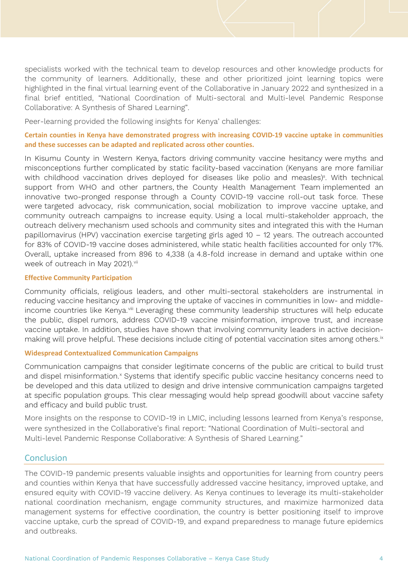specialists worked with the technical team to develop resources and other knowledge products for the community of learners. Additionally, these and other prioritized joint learning topics were highlighted in the final virtual learning event of the Collaborative in January 2022 and synthesized in a final brief entitled, "National Coordination of Multi-sectoral and Multi-level Pandemic Response Collaborative: A Synthesis of Shared Learning".

Peer-learning provided the following insights for Kenya' challenges:

## **Certain counties in Kenya have demonstrated progress with increasing COVID-19 vaccine uptake in communities and these successes can be adapted and replicated across other counties.**

In Kisumu County in Western Kenya, factors driving community vaccine hesitancy were myths and misconceptions further complicated by static facility-based vaccination (Kenyans are more familiar with childhood vaccination drives deployed for diseases like polio and measles)<sup>8</sup>. With technical support from WHO and other partners, the County Health Management Team implemented an innovative two-pronged response through a County COVID-19 vaccine roll-out task force. These were targeted advocacy, risk communication, social mobilization to improve vaccine uptake, and community outreach campaigns to increase equity. Using a local multi-stakeholder approach, the outreach delivery mechanism used schools and community sites and integrated this with the Human papillomavirus (HPV) vaccination exercise targeting girls aged 10 – 12 years. The outreach accounted for 83% of COVID-19 vaccine doses administered, while static health facilities accounted for only 17%. Overall, uptake increased from 896 to 4,338 (a 4.8-fold increase in demand and uptake within one week of outreach in May 2021). Vii

#### **Effective Community Participation**

Community officials, religious leaders, and other multi-sectoral stakeholders are instrumental in reducing vaccine hesitancy and improving the uptake of vaccines in communities in low- and middleincome countries like Kenya.<sup>[viii](#page-4-7)</sup> Leveraging these community leadership structures will help educate the public, dispel rumors, address COVID-19 vaccine misinformation, improve trust, and increase vaccine uptake. In addition, studies have shown that involving community leaders in active decisionmaking will prove helpful. These decisions include citing of potential vaccination sites among others.<sup>ix</sup>

#### **Widespread Contextualized Communication Campaigns**

Communication campaigns that consider legitimate concerns of the public are critical to build trust and dispel misinformation.<sup>[x](#page-4-9)</sup> Systems that identify specific public vaccine hesitancy concerns need to be developed and this data utilized to design and drive intensive communication campaigns targeted at specific population groups. This clear messaging would help spread goodwill about vaccine safety and efficacy and build public trust.

More insights on the response to COVID-19 in LMIC, including lessons learned from Kenya's response, were synthesized in the Collaborative's final report: "National Coordination of Multi-sectoral and Multi-level Pandemic Response Collaborative: A Synthesis of Shared Learning."

## **Conclusion**

The COVID-19 pandemic presents valuable insights and opportunities for learning from country peers and counties within Kenya that have successfully addressed vaccine hesitancy, improved uptake, and ensured equity with COVID-19 vaccine delivery. As Kenya continues to leverage its multi-stakeholder national coordination mechanism, engage community structures, and maximize harmonized data management systems for effective coordination, the country is better positioning itself to improve vaccine uptake, curb the spread of COVID-19, and expand preparedness to manage future epidemics and outbreaks.